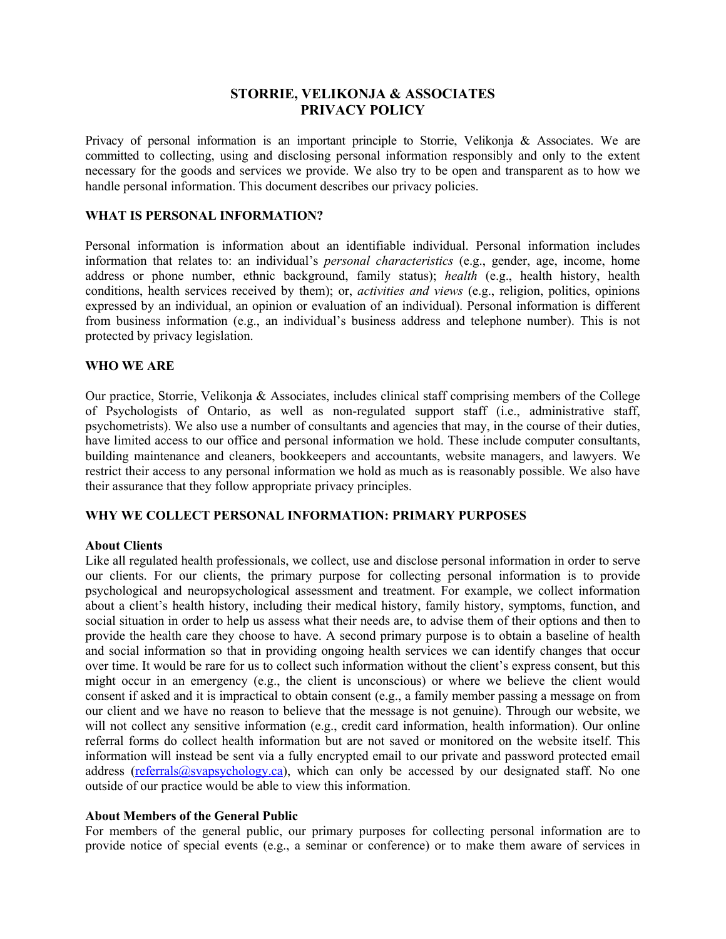# **STORRIE, VELIKONJA & ASSOCIATES PRIVACY POLICY**

Privacy of personal information is an important principle to Storrie, Velikonja & Associates. We are committed to collecting, using and disclosing personal information responsibly and only to the extent necessary for the goods and services we provide. We also try to be open and transparent as to how we handle personal information. This document describes our privacy policies.

# **WHAT IS PERSONAL INFORMATION?**

Personal information is information about an identifiable individual. Personal information includes information that relates to: an individual's *personal characteristics* (e.g., gender, age, income, home address or phone number, ethnic background, family status); *health* (e.g., health history, health conditions, health services received by them); or, *activities and views* (e.g., religion, politics, opinions expressed by an individual, an opinion or evaluation of an individual). Personal information is different from business information (e.g., an individual's business address and telephone number). This is not protected by privacy legislation.

#### **WHO WE ARE**

Our practice, Storrie, Velikonja & Associates, includes clinical staff comprising members of the College of Psychologists of Ontario, as well as non-regulated support staff (i.e., administrative staff, psychometrists). We also use a number of consultants and agencies that may, in the course of their duties, have limited access to our office and personal information we hold. These include computer consultants, building maintenance and cleaners, bookkeepers and accountants, website managers, and lawyers. We restrict their access to any personal information we hold as much as is reasonably possible. We also have their assurance that they follow appropriate privacy principles.

# **WHY WE COLLECT PERSONAL INFORMATION: PRIMARY PURPOSES**

#### **About Clients**

Like all regulated health professionals, we collect, use and disclose personal information in order to serve our clients. For our clients, the primary purpose for collecting personal information is to provide psychological and neuropsychological assessment and treatment. For example, we collect information about a client's health history, including their medical history, family history, symptoms, function, and social situation in order to help us assess what their needs are, to advise them of their options and then to provide the health care they choose to have. A second primary purpose is to obtain a baseline of health and social information so that in providing ongoing health services we can identify changes that occur over time. It would be rare for us to collect such information without the client's express consent, but this might occur in an emergency (e.g., the client is unconscious) or where we believe the client would consent if asked and it is impractical to obtain consent (e.g., a family member passing a message on from our client and we have no reason to believe that the message is not genuine). Through our website, we will not collect any sensitive information (e.g., credit card information, health information). Our online referral forms do collect health information but are not saved or monitored on the website itself. This information will instead be sent via a fully encrypted email to our private and password protected email address (referrals@svapsychology.ca), which can only be accessed by our designated staff. No one outside of our practice would be able to view this information.

# **About Members of the General Public**

For members of the general public, our primary purposes for collecting personal information are to provide notice of special events (e.g., a seminar or conference) or to make them aware of services in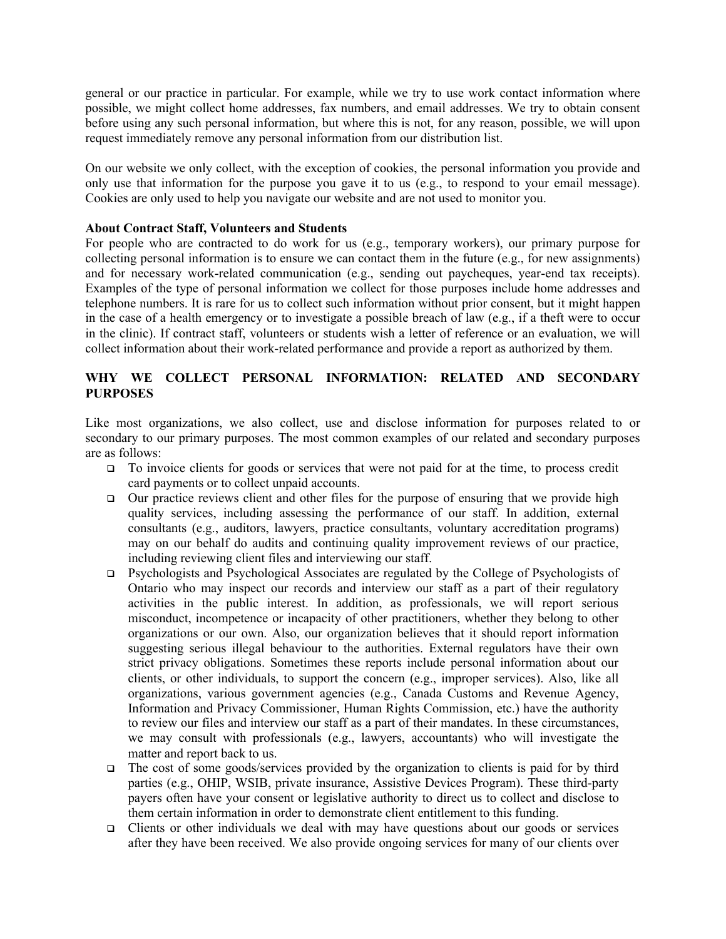general or our practice in particular. For example, while we try to use work contact information where possible, we might collect home addresses, fax numbers, and email addresses. We try to obtain consent before using any such personal information, but where this is not, for any reason, possible, we will upon request immediately remove any personal information from our distribution list.

On our website we only collect, with the exception of cookies, the personal information you provide and only use that information for the purpose you gave it to us (e.g., to respond to your email message). Cookies are only used to help you navigate our website and are not used to monitor you.

#### **About Contract Staff, Volunteers and Students**

For people who are contracted to do work for us (e.g., temporary workers), our primary purpose for collecting personal information is to ensure we can contact them in the future (e.g., for new assignments) and for necessary work-related communication (e.g., sending out paycheques, year-end tax receipts). Examples of the type of personal information we collect for those purposes include home addresses and telephone numbers. It is rare for us to collect such information without prior consent, but it might happen in the case of a health emergency or to investigate a possible breach of law (e.g., if a theft were to occur in the clinic). If contract staff, volunteers or students wish a letter of reference or an evaluation, we will collect information about their work-related performance and provide a report as authorized by them.

# **WHY WE COLLECT PERSONAL INFORMATION: RELATED AND SECONDARY PURPOSES**

Like most organizations, we also collect, use and disclose information for purposes related to or secondary to our primary purposes. The most common examples of our related and secondary purposes are as follows:

- $\Box$  To invoice clients for goods or services that were not paid for at the time, to process credit card payments or to collect unpaid accounts.
- $\Box$  Our practice reviews client and other files for the purpose of ensuring that we provide high quality services, including assessing the performance of our staff. In addition, external consultants (e.g., auditors, lawyers, practice consultants, voluntary accreditation programs) may on our behalf do audits and continuing quality improvement reviews of our practice, including reviewing client files and interviewing our staff.
- q Psychologists and Psychological Associates are regulated by the College of Psychologists of Ontario who may inspect our records and interview our staff as a part of their regulatory activities in the public interest. In addition, as professionals, we will report serious misconduct, incompetence or incapacity of other practitioners, whether they belong to other organizations or our own. Also, our organization believes that it should report information suggesting serious illegal behaviour to the authorities. External regulators have their own strict privacy obligations. Sometimes these reports include personal information about our clients, or other individuals, to support the concern (e.g., improper services). Also, like all organizations, various government agencies (e.g., Canada Customs and Revenue Agency, Information and Privacy Commissioner, Human Rights Commission, etc.) have the authority to review our files and interview our staff as a part of their mandates. In these circumstances, we may consult with professionals (e.g., lawyers, accountants) who will investigate the matter and report back to us.
- $\Box$  The cost of some goods/services provided by the organization to clients is paid for by third parties (e.g., OHIP, WSIB, private insurance, Assistive Devices Program). These third-party payers often have your consent or legislative authority to direct us to collect and disclose to them certain information in order to demonstrate client entitlement to this funding.
- $\Box$  Clients or other individuals we deal with may have questions about our goods or services after they have been received. We also provide ongoing services for many of our clients over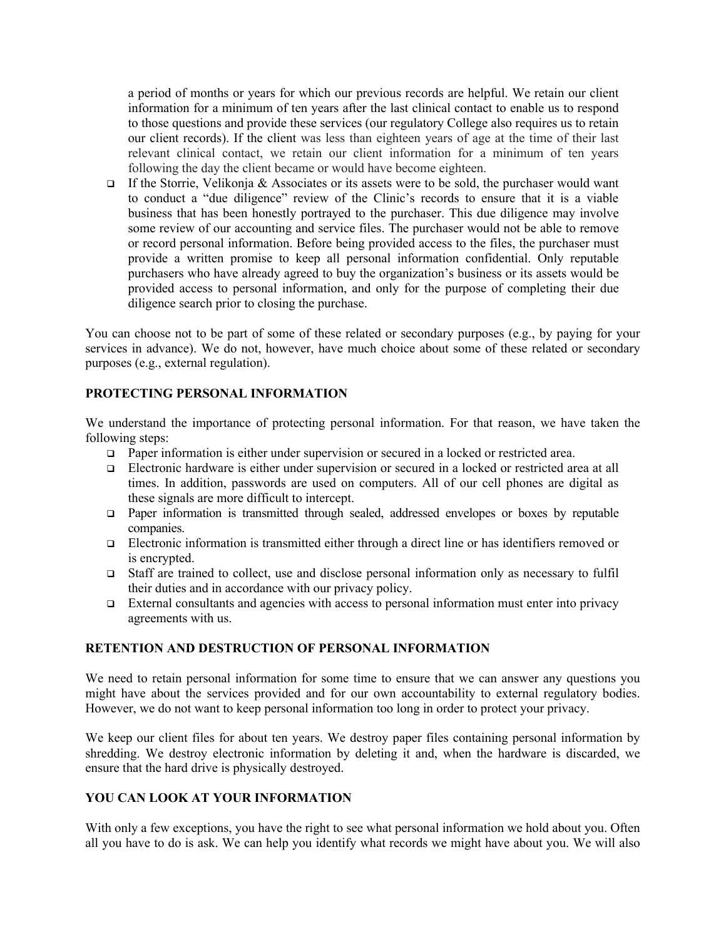a period of months or years for which our previous records are helpful. We retain our client information for a minimum of ten years after the last clinical contact to enable us to respond to those questions and provide these services (our regulatory College also requires us to retain our client records). If the client was less than eighteen years of age at the time of their last relevant clinical contact, we retain our client information for a minimum of ten years following the day the client became or would have become eighteen.

 $\Box$  If the Storrie, Velikonja & Associates or its assets were to be sold, the purchaser would want to conduct a "due diligence" review of the Clinic's records to ensure that it is a viable business that has been honestly portrayed to the purchaser. This due diligence may involve some review of our accounting and service files. The purchaser would not be able to remove or record personal information. Before being provided access to the files, the purchaser must provide a written promise to keep all personal information confidential. Only reputable purchasers who have already agreed to buy the organization's business or its assets would be provided access to personal information, and only for the purpose of completing their due diligence search prior to closing the purchase.

You can choose not to be part of some of these related or secondary purposes (e.g., by paying for your services in advance). We do not, however, have much choice about some of these related or secondary purposes (e.g., external regulation).

# **PROTECTING PERSONAL INFORMATION**

We understand the importance of protecting personal information. For that reason, we have taken the following steps:

- □ Paper information is either under supervision or secured in a locked or restricted area.
- □ Electronic hardware is either under supervision or secured in a locked or restricted area at all times. In addition, passwords are used on computers. All of our cell phones are digital as these signals are more difficult to intercept.
- $\Box$  Paper information is transmitted through sealed, addressed envelopes or boxes by reputable companies.
- $\Box$  Electronic information is transmitted either through a direct line or has identifiers removed or is encrypted.
- □ Staff are trained to collect, use and disclose personal information only as necessary to fulfil their duties and in accordance with our privacy policy.
- $\Box$  External consultants and agencies with access to personal information must enter into privacy agreements with us.

# **RETENTION AND DESTRUCTION OF PERSONAL INFORMATION**

We need to retain personal information for some time to ensure that we can answer any questions you might have about the services provided and for our own accountability to external regulatory bodies. However, we do not want to keep personal information too long in order to protect your privacy.

We keep our client files for about ten years. We destroy paper files containing personal information by shredding. We destroy electronic information by deleting it and, when the hardware is discarded, we ensure that the hard drive is physically destroyed.

# **YOU CAN LOOK AT YOUR INFORMATION**

With only a few exceptions, you have the right to see what personal information we hold about you. Often all you have to do is ask. We can help you identify what records we might have about you. We will also